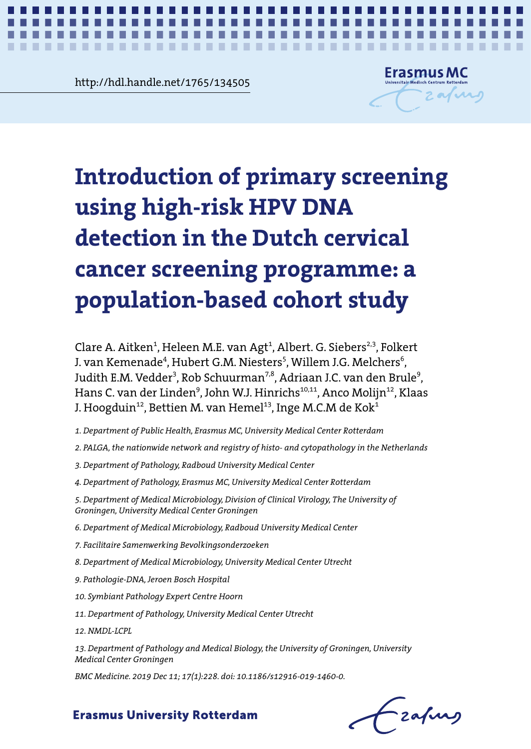**Chapter 2.1124505**<br>Chapter 2.1124505<br>Chapter 2.1124505 http://hdl.handle.net/1765/134505



*First results of hrHPV-based screening* **1**

# Introduction of primary screening **programme: a population-based cohort study** nulation-based cohort study population-based cohort study **using high-risk HPV DNA detection in the Dutch cervical cancer screening programme: a**

Clare A. Aitken<sup>1</sup>, Heleen M.E. van Agt<sup>1</sup>, Albert. G. Siebers<sup>2,3</sup>, Folkert J. van Kemenade<sup>4</sup>, Hubert G.M. Niesters<sup>5</sup>, Willem J.G. Melchers<sup>6</sup>, Hans C. van der Linden<sup>9</sup>, John W.J. Hinrichs<sup>10,11</sup>, Anco Molijn<sup>12</sup>, Klaas J. Hoogduin $^{12}$ , Bettien M. van Hemel $^{13}$ , Inge M.C.M de Kok $^{4}$ Judith E.M. Vedder<sup>3</sup>, Rob Schuurman<sup>7,8</sup>, Adriaan J.C. van den Brule<sup>9</sup>,

- 1. Department of Public Health, Erasmus MC, University Medical Center Rotterdam<br>.
- 2. PALGA, the nationwide network and registry of histo- and cytopathology in the Netherlands<br>.
- 3. Department of Pathology, Radboud University Medical Center
- 4. Department of Pathology, Erasmus MC, University Medical Center Rotterdam
- 5. Department of Medical Microbiology, Division of Clinical Virology, The University of 7. Facilitaire Samenwerking Bevolkingsonderzoeken *Groningen, University Medical Center Groningen*
- 6. Department of Medical Microbiology, Radboud University Medical Center
- 9. Pathologie-DNA, Jeroen Bosch Hospital *7. Facilitaire Samenwerking Bevolkingsonderzoeken*
- 8. Department of Medical Microbiology, University Medical Center Utrecht
- 11. Department of Pathology, University Medical Center Utrecht *9. Pathologie-DNA, Jeroen Bosch Hospital*
- $\overline{\phantom{a}}$ *10. Symbiant Pathology Expert Centre Hoorn*
- 13. Department of Pathology and Medical Biology, the University of Groningen, University 11. Department of Pathology, University Medical Center Utrecht<br>.
- *12. NMDL-LCPL*

*BMC Medicine. 2019 Dec 11; 17(1):228. doi: 10.1186/s12916-019-1460-0. 13. Department of Pathology and Medical Biology, the University of Groningen, University*  First results of hrHPV-based screening *Medical Center Groningen*

*BMC Medicine. 2019 Dec 11; 17(1):228. doi: 10.1186/s12916-019-1460-0.*

- zafung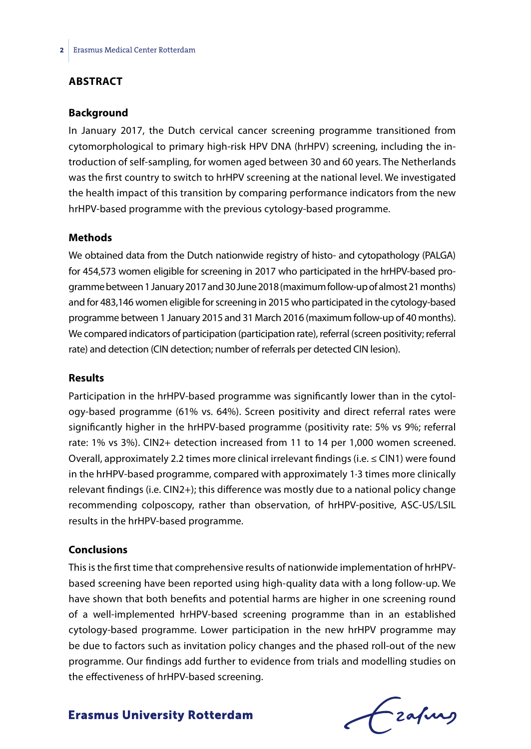#### **ABSTRACT**

#### **Background**

In January 2017, the Dutch cervical cancer screening programme transitioned from cytomorphological to primary high-risk HPV DNA (hrHPV) screening, including the introduction of self-sampling, for women aged between 30 and 60 years. The Netherlands was the first country to switch to hrHPV screening at the national level. We investigated the health impact of this transition by comparing performance indicators from the new hrHPV-based programme with the previous cytology-based programme.

#### **Methods**

We obtained data from the Dutch nationwide registry of histo- and cytopathology (PALGA) for 454,573 women eligible for screening in 2017 who participated in the hrHPV-based programme between 1 January 2017 and 30 June 2018 (maximum follow-up of almost 21 months) and for 483,146 women eligible for screening in 2015 who participated in the cytology-based programme between 1 January 2015 and 31 March 2016 (maximum follow-up of 40 months). We compared indicators of participation (participation rate), referral (screen positivity; referral rate) and detection (CIN detection; number of referrals per detected CIN lesion).

#### **Results**

Participation in the hrHPV-based programme was significantly lower than in the cytology-based programme (61% vs. 64%). Screen positivity and direct referral rates were significantly higher in the hrHPV-based programme (positivity rate: 5% vs 9%; referral rate: 1% vs 3%). CIN2+ detection increased from 11 to 14 per 1,000 women screened. Overall, approximately 2.2 times more clinical irrelevant findings (i.e. ≤ CIN1) were found in the hrHPV-based programme, compared with approximately 1·3 times more clinically relevant findings (i.e. CIN2+); this difference was mostly due to a national policy change recommending colposcopy, rather than observation, of hrHPV-positive, ASC-US/LSIL results in the hrHPV-based programme.

#### **Conclusions**

This is the first time that comprehensive results of nationwide implementation of hrHPVbased screening have been reported using high-quality data with a long follow-up. We have shown that both benefits and potential harms are higher in one screening round of a well-implemented hrHPV-based screening programme than in an established cytology-based programme. Lower participation in the new hrHPV programme may be due to factors such as invitation policy changes and the phased roll-out of the new programme. Our findings add further to evidence from trials and modelling studies on the effectiveness of hrHPV-based screening.

Czafung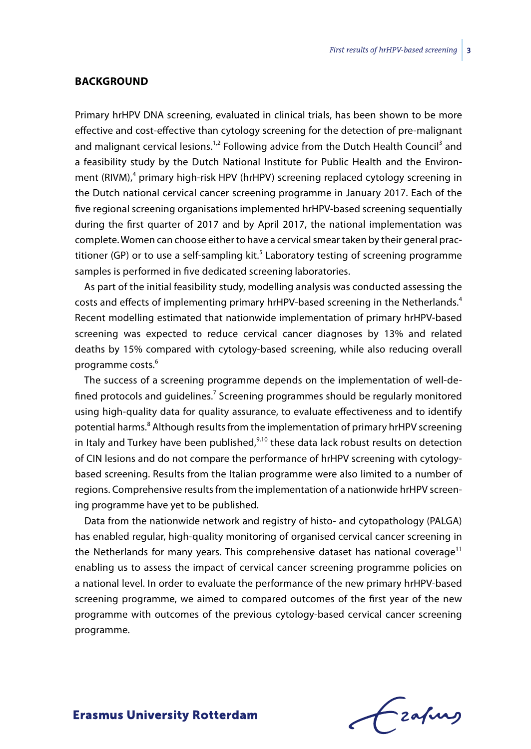#### **BACKGROUND**

Primary hrHPV DNA screening, evaluated in clinical trials, has been shown to be more effective and cost-effective than cytology screening for the detection of pre-malignant and malignant cervical lesions.<sup>1,2</sup> Following advice from the Dutch Health Council<sup>3</sup> and a feasibility study by the Dutch National Institute for Public Health and the Environment (RIVM),<sup>4</sup> primary high-risk HPV (hrHPV) screening replaced cytology screening in the Dutch national cervical cancer screening programme in January 2017. Each of the five regional screening organisations implemented hrHPV-based screening sequentially during the first quarter of 2017 and by April 2017, the national implementation was complete. Women can choose either to have a cervical smear taken by their general practitioner (GP) or to use a self-sampling kit.<sup>5</sup> Laboratory testing of screening programme samples is performed in five dedicated screening laboratories.

As part of the initial feasibility study, modelling analysis was conducted assessing the costs and effects of implementing primary hrHPV-based screening in the Netherlands.<sup>4</sup> Recent modelling estimated that nationwide implementation of primary hrHPV-based screening was expected to reduce cervical cancer diagnoses by 13% and related deaths by 15% compared with cytology-based screening, while also reducing overall programme costs.<sup>6</sup>

The success of a screening programme depends on the implementation of well-defined protocols and guidelines.<sup>7</sup> Screening programmes should be regularly monitored using high-quality data for quality assurance, to evaluate effectiveness and to identify potential harms.<sup>8</sup> Although results from the implementation of primary hrHPV screening in Italy and Turkey have been published, $9,10$  these data lack robust results on detection of CIN lesions and do not compare the performance of hrHPV screening with cytologybased screening. Results from the Italian programme were also limited to a number of regions. Comprehensive results from the implementation of a nationwide hrHPV screening programme have yet to be published.

Data from the nationwide network and registry of histo- and cytopathology (PALGA) has enabled regular, high-quality monitoring of organised cervical cancer screening in the Netherlands for many years. This comprehensive dataset has national coverage<sup>11</sup> enabling us to assess the impact of cervical cancer screening programme policies on a national level. In order to evaluate the performance of the new primary hrHPV-based screening programme, we aimed to compared outcomes of the first year of the new programme with outcomes of the previous cytology-based cervical cancer screening programme.

Lzafurs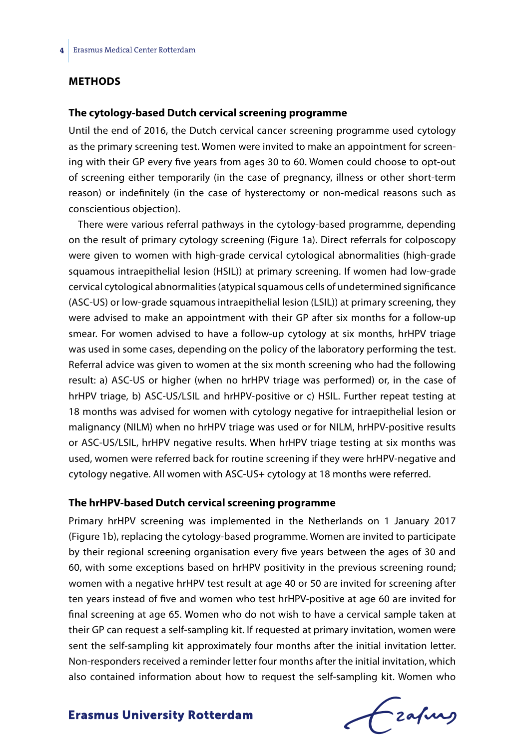#### **METHODS**

#### **The cytology-based Dutch cervical screening programme**

Until the end of 2016, the Dutch cervical cancer screening programme used cytology as the primary screening test. Women were invited to make an appointment for screening with their GP every five years from ages 30 to 60. Women could choose to opt-out of screening either temporarily (in the case of pregnancy, illness or other short-term reason) or indefinitely (in the case of hysterectomy or non-medical reasons such as conscientious objection).

There were various referral pathways in the cytology-based programme, depending on the result of primary cytology screening (Figure 1a). Direct referrals for colposcopy were given to women with high-grade cervical cytological abnormalities (high-grade squamous intraepithelial lesion (HSIL)) at primary screening. If women had low-grade cervical cytological abnormalities (atypical squamous cells of undetermined significance (ASC-US) or low-grade squamous intraepithelial lesion (LSIL)) at primary screening, they were advised to make an appointment with their GP after six months for a follow-up smear. For women advised to have a follow-up cytology at six months, hrHPV triage was used in some cases, depending on the policy of the laboratory performing the test. Referral advice was given to women at the six month screening who had the following result: a) ASC-US or higher (when no hrHPV triage was performed) or, in the case of hrHPV triage, b) ASC-US/LSIL and hrHPV-positive or c) HSIL. Further repeat testing at 18 months was advised for women with cytology negative for intraepithelial lesion or malignancy (NILM) when no hrHPV triage was used or for NILM, hrHPV-positive results or ASC-US/LSIL, hrHPV negative results. When hrHPV triage testing at six months was used, women were referred back for routine screening if they were hrHPV-negative and cytology negative. All women with ASC-US+ cytology at 18 months were referred.

#### **The hrHPV-based Dutch cervical screening programme**

Primary hrHPV screening was implemented in the Netherlands on 1 January 2017 (Figure 1b), replacing the cytology-based programme. Women are invited to participate by their regional screening organisation every five years between the ages of 30 and 60, with some exceptions based on hrHPV positivity in the previous screening round; women with a negative hrHPV test result at age 40 or 50 are invited for screening after ten years instead of five and women who test hrHPV-positive at age 60 are invited for final screening at age 65. Women who do not wish to have a cervical sample taken at their GP can request a self-sampling kit. If requested at primary invitation, women were sent the self-sampling kit approximately four months after the initial invitation letter. Non-responders received a reminder letter four months after the initial invitation, which also contained information about how to request the self-sampling kit. Women who

frafing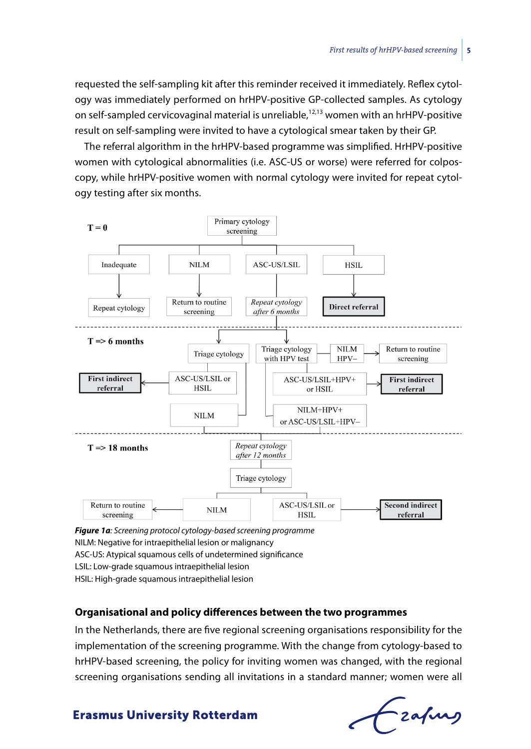requested the self-sampling kit after this reminder received it immediately. Reflex cytology was immediately performed on hrHPV-positive GP-collected samples. As cytology on self-sampled cervicovaginal material is unreliable, $12,13$  women with an hrHPV-positive result on self-sampling were invited to have a cytological smear taken by their GP.

The referral algorithm in the hrHPV-based programme was simplified. HrHPV-positive women with cytological abnormalities (i.e. ASC-US or worse) were referred for colposcopy, while hrHPV-positive women with normal cytology were invited for repeat cytology testing after six months.



*Figure 1a: Screening protocol cytology-based screening programme* NILM: Negative for intraepithelial lesion or malignancy ASC-US: Atypical squamous cells of undetermined significance LSIL: Low-grade squamous intraepithelial lesion HSIL: High-grade squamous intraepithelial lesion

#### **Organisational and policy differences between the two programmes**

In the Netherlands, there are five regional screening organisations responsibility for the implementation of the screening programme. With the change from cytology-based to hrHPV-based screening, the policy for inviting women was changed, with the regional screening organisations sending all invitations in a standard manner; women were all

Fzafung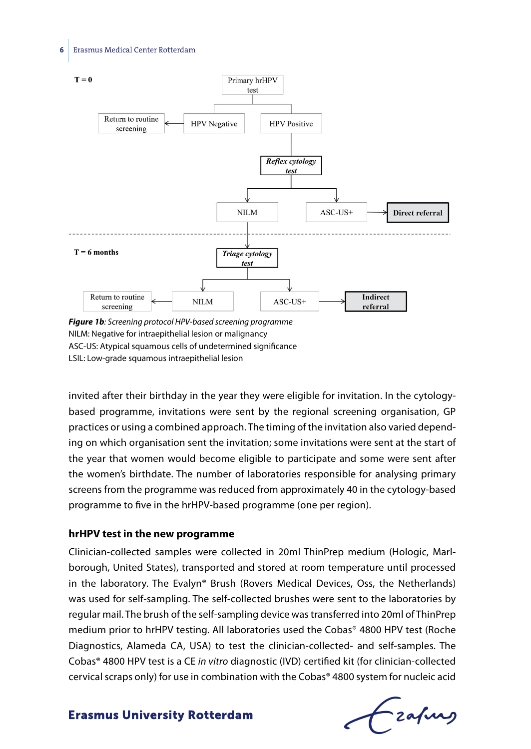#### **6** Erasmus Medical Center Rotterdam



NILM: Negative for intraepithelial lesion or malignancy ASC-US: Atypical squamous cells of undetermined significance LSIL: Low-grade squamous intraepithelial lesion

invited after their birthday in the year they were eligible for invitation. In the cytologybased programme, invitations were sent by the regional screening organisation, GP practices or using a combined approach. The timing of the invitation also varied depending on which organisation sent the invitation; some invitations were sent at the start of the year that women would become eligible to participate and some were sent after the women's birthdate. The number of laboratories responsible for analysing primary screens from the programme was reduced from approximately 40 in the cytology-based programme to five in the hrHPV-based programme (one per region).

#### **hrHPV test in the new programme**

Clinician-collected samples were collected in 20ml ThinPrep medium (Hologic, Marlborough, United States), transported and stored at room temperature until processed in the laboratory. The Evalyn® Brush (Rovers Medical Devices, Oss, the Netherlands) was used for self-sampling. The self-collected brushes were sent to the laboratories by regular mail. The brush of the self-sampling device was transferred into 20ml of ThinPrep medium prior to hrHPV testing. All laboratories used the Cobas® 4800 HPV test (Roche Diagnostics, Alameda CA, USA) to test the clinician-collected- and self-samples. The Cobas® 4800 HPV test is a CE *in vitro* diagnostic (IVD) certified kit (for clinician-collected cervical scraps only) for use in combination with the Cobas® 4800 system for nucleic acid

Fzafurg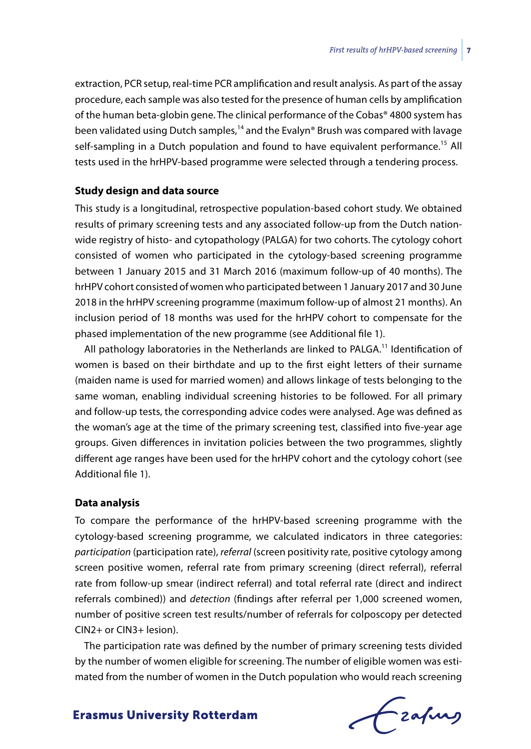extraction, PCR setup, real-time PCR amplification and result analysis. As part of the assay procedure, each sample was also tested for the presence of human cells by amplification of the human beta-globin gene. The clinical performance of the Cobas® 4800 system has been validated using Dutch samples,<sup>14</sup> and the Evalyn® Brush was compared with lavage self-sampling in a Dutch population and found to have equivalent performance.<sup>15</sup> All tests used in the hrHPV-based programme were selected through a tendering process.

#### **Study design and data source**

This study is a longitudinal, retrospective population-based cohort study. We obtained results of primary screening tests and any associated follow-up from the Dutch nationwide registry of histo- and cytopathology (PALGA) for two cohorts. The cytology cohort consisted of women who participated in the cytology-based screening programme between 1 January 2015 and 31 March 2016 (maximum follow-up of 40 months). The hrHPV cohort consisted of women who participated between 1 January 2017 and 30 June 2018 in the hrHPV screening programme (maximum follow-up of almost 21 months). An inclusion period of 18 months was used for the hrHPV cohort to compensate for the phased implementation of the new programme (see Additional file 1).

All pathology laboratories in the Netherlands are linked to PALGA.<sup>11</sup> Identification of women is based on their birthdate and up to the first eight letters of their surname (maiden name is used for married women) and allows linkage of tests belonging to the same woman, enabling individual screening histories to be followed. For all primary and follow-up tests, the corresponding advice codes were analysed. Age was defined as the woman's age at the time of the primary screening test, classified into five-year age groups. Given differences in invitation policies between the two programmes, slightly different age ranges have been used for the hrHPV cohort and the cytology cohort (see Additional file 1).

#### **Data analysis**

To compare the performance of the hrHPV-based screening programme with the cytology-based screening programme, we calculated indicators in three categories: *participation* (participation rate), *referral* (screen positivity rate, positive cytology among screen positive women, referral rate from primary screening (direct referral), referral rate from follow-up smear (indirect referral) and total referral rate (direct and indirect referrals combined)) and *detection* (findings after referral per 1,000 screened women, number of positive screen test results/number of referrals for colposcopy per detected CIN2+ or CIN3+ lesion).

The participation rate was defined by the number of primary screening tests divided by the number of women eligible for screening. The number of eligible women was estimated from the number of women in the Dutch population who would reach screening

frafing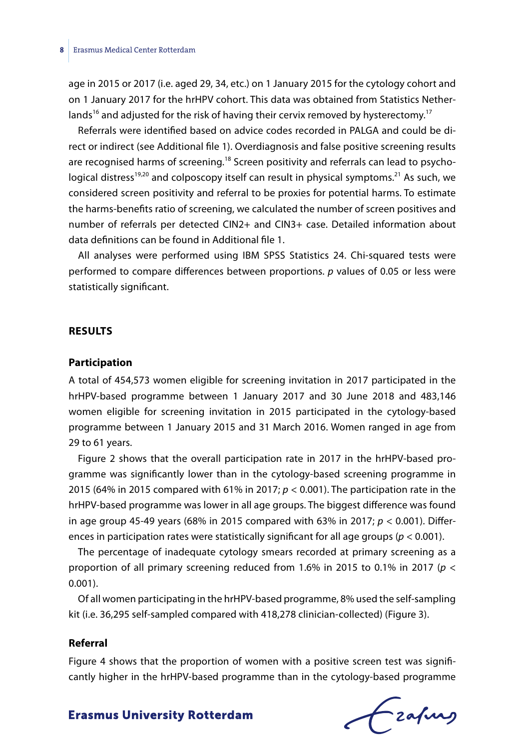age in 2015 or 2017 (i.e. aged 29, 34, etc.) on 1 January 2015 for the cytology cohort and on 1 January 2017 for the hrHPV cohort. This data was obtained from Statistics Netherlands<sup>16</sup> and adjusted for the risk of having their cervix removed by hysterectomy.<sup>17</sup>

Referrals were identified based on advice codes recorded in PALGA and could be direct or indirect (see Additional file 1). Overdiagnosis and false positive screening results are recognised harms of screening.<sup>18</sup> Screen positivity and referrals can lead to psychological distress<sup>19,20</sup> and colposcopy itself can result in physical symptoms.<sup>21</sup> As such, we considered screen positivity and referral to be proxies for potential harms. To estimate the harms-benefits ratio of screening, we calculated the number of screen positives and number of referrals per detected CIN2+ and CIN3+ case. Detailed information about data definitions can be found in Additional file 1.

All analyses were performed using IBM SPSS Statistics 24. Chi-squared tests were performed to compare differences between proportions. *p* values of 0.05 or less were statistically significant.

#### **RESULTS**

#### **Participation**

A total of 454,573 women eligible for screening invitation in 2017 participated in the hrHPV-based programme between 1 January 2017 and 30 June 2018 and 483,146 women eligible for screening invitation in 2015 participated in the cytology-based programme between 1 January 2015 and 31 March 2016. Women ranged in age from 29 to 61 years.

Figure 2 shows that the overall participation rate in 2017 in the hrHPV-based programme was significantly lower than in the cytology-based screening programme in 2015 (64% in 2015 compared with 61% in 2017; *p* < 0.001). The participation rate in the hrHPV-based programme was lower in all age groups. The biggest difference was found in age group 45-49 years (68% in 2015 compared with 63% in 2017; *p* < 0.001). Differences in participation rates were statistically significant for all age groups (*p* < 0.001).

The percentage of inadequate cytology smears recorded at primary screening as a proportion of all primary screening reduced from 1.6% in 2015 to 0.1% in 2017 (*p* < 0.001).

Of all women participating in the hrHPV-based programme, 8% used the self-sampling kit (i.e. 36,295 self-sampled compared with 418,278 clinician-collected) (Figure 3).

#### **Referral**

Figure 4 shows that the proportion of women with a positive screen test was significantly higher in the hrHPV-based programme than in the cytology-based programme

frafing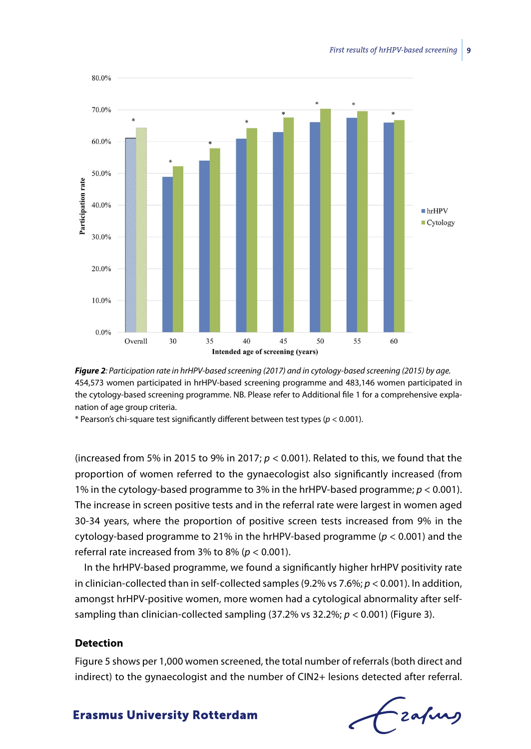



\* Pearson's chi-square test significantly different between test types (*p* < 0.001).

(increased from 5% in 2015 to 9% in 2017;  $p < 0.001$ ). Related to this, we found that the proportion of women referred to the gynaecologist also significantly increased (from 1% in the cytology-based programme to 3% in the hrHPV-based programme; *p* < 0.001). The increase in screen positive tests and in the referral rate were largest in women aged 30-34 years, where the proportion of positive screen tests increased from 9% in the cytology-based programme to 21% in the hrHPV-based programme (*p* < 0.001) and the referral rate increased from 3% to 8% (*p* < 0.001).

In the hrHPV-based programme, we found a significantly higher hrHPV positivity rate in clinician-collected than in self-collected samples (9.2% vs 7.6%; *p* < 0.001). In addition, amongst hrHPV-positive women, more women had a cytological abnormality after selfsampling than clinician-collected sampling (37.2% vs 32.2%; *p* < 0.001) (Figure 3).

#### **Detection**

Figure 5 shows per 1,000 women screened, the total number of referrals (both direct and indirect) to the gynaecologist and the number of CIN2+ lesions detected after referral.

frafing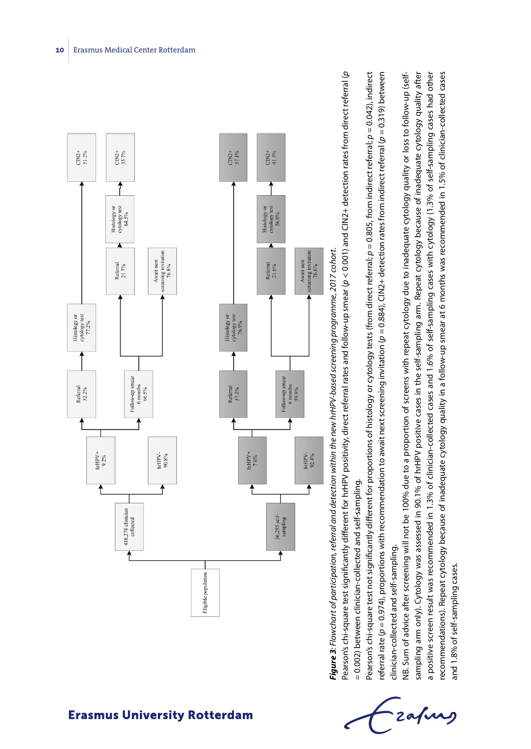



**Fiqure 3:** Flowchart of participation, referral and detection within the new hrHPV-based screening programme. 2017 cohort. *Figure 3: Flowchart of participation, referral and detection within the new hrHPV-based screening programme, 2017 cohort.*

Pearson's chi-square test significantly different for hrHPV positivity, direct referral rates and follow-up smear (p < 0.001) and CIN2+ detection rates from direct referral (p Pearson's chi-square test significantly different for hrHPV positivity, direct referral rates and follow-up smear (*p* < 0.001) and CIN2+ detection rates from direct referral (*p* = 0.002) between clinician-collected and self-sampling. = 0.002) between clinician-collected and self-sampling.

Pearson's chi-square test not significantly different for proportions of histology or cytology tests (from direct referral; *p* = 0.805, from indirect referral; *p* = 0.042), indirect referral rate (*p* = 0.974), proportions with recommendation to await next screening invitation (*p* = 0.884), CIN2+ detection rates from indirect referral (*p* = 0.319) between Pearson's chi-square test not significantly different for proportions of histology or cytology tests (from direct referral;  $p=0.805$ , from indirect referral;  $p=0.042$ ), indirect referral rate ( $p = 0.974$ ), proportions with recommendation to await next screening invitation ( $p = 0.884$ ), CIN2+ detection rates from indirect referral ( $p = 0.319$ ) between clinician-collected and self-sampling. clinician-collected and self-sampling.

sampling arm only). Cytology was assessed in 90.1% of hrHPV positive cases in the self-sampling arm. Repeat cytology because of inadequate cytology quality after a positive screen result was recommended in 1.3% of clinician-collected cases and 1.6% of self-sampling cases with cytology (1.3% of self-sampling cases had other a positive screen result was recommended in 1.3% of clinician-collected cases and 1.6% of self-sampling cases with cytology (1.3% of self-sampling cases had other recommendations). Repeat cytology because of inadequate cytology quality in a follow-up smear at 6 months was recommended in 1.5% of clinician-collected cases NB. Sum of advice after screening will not be 100% due to a proportion of screens with repeat cytology due to inadequate cytology quality or loss to follow-up (selfsampling arm only). Cytology was assessed in 90.1% of hrHPV positive cases in the self-sampling arm. Repeat cytology because of inadequate cytology quality after ecommendations). Repeat cytology because of inadequate cytology quality in a follow-up smear at 6 months was recommended in 1.5% of clinician-collected cases NB. Sum of advice after screening will not be 100% due to a proportion of screens with repeat cytology due to inadequate cytology quality or loss to follow-up (selfand 1.8% of self-sampling cases. and 1.8% of self-sampling cases.

Lzafurs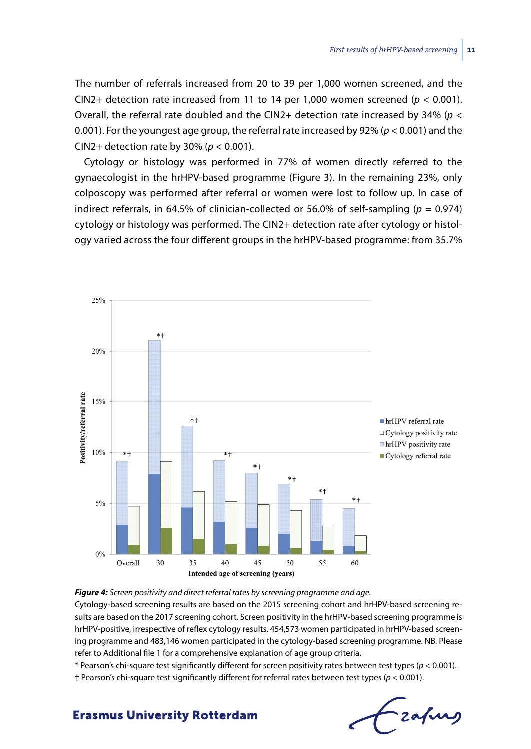The number of referrals increased from 20 to 39 per 1,000 women screened, and the CIN2+ detection rate increased from 11 to 14 per 1,000 women screened ( $p < 0.001$ ). Overall, the referral rate doubled and the CIN2+ detection rate increased by 34% (*p* < 0.001). For the youngest age group, the referral rate increased by 92% (*p* < 0.001) and the CIN2+ detection rate by 30% (*p* < 0.001).

Cytology or histology was performed in 77% of women directly referred to the gynaecologist in the hrHPV-based programme (Figure 3). In the remaining 23%, only colposcopy was performed after referral or women were lost to follow up. In case of indirect referrals, in 64.5% of clinician-collected or 56.0% of self-sampling ( $p = 0.974$ ) cytology or histology was performed. The CIN2+ detection rate after cytology or histology varied across the four different groups in the hrHPV-based programme: from 35.7%



#### *Figure 4: Screen positivity and direct referral rates by screening programme and age.*

Cytology-based screening results are based on the 2015 screening cohort and hrHPV-based screening results are based on the 2017 screening cohort. Screen positivity in the hrHPV-based screening programme is hrHPV-positive, irrespective of reflex cytology results. 454,573 women participated in hrHPV-based screening programme and 483,146 women participated in the cytology-based screening programme. NB. Please refer to Additional file 1 for a comprehensive explanation of age group criteria.

\* Pearson's chi-square test significantly different for screen positivity rates between test types (*p* < 0.001).

† Pearson's chi-square test significantly different for referral rates between test types (*p* < 0.001).

Frafing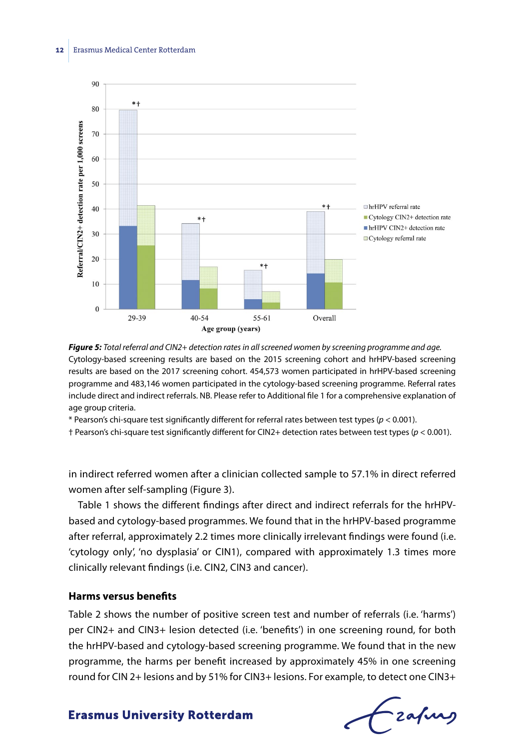

*Figure 5: Total referral and CIN2+ detection rates in all screened women by screening programme and age.* Cytology-based screening results are based on the 2015 screening cohort and hrHPV-based screening results are based on the 2017 screening cohort. 454,573 women participated in hrHPV-based screening programme and 483,146 women participated in the cytology-based screening programme. Referral rates include direct and indirect referrals. NB. Please refer to Additional file 1 for a comprehensive explanation of age group criteria.

\* Pearson's chi-square test significantly different for referral rates between test types (*p* < 0.001).

† Pearson's chi-square test significantly different for CIN2+ detection rates between test types (*p* < 0.001).

in indirect referred women after a clinician collected sample to 57.1% in direct referred women after self-sampling (Figure 3).

Table 1 shows the different findings after direct and indirect referrals for the hrHPVbased and cytology-based programmes. We found that in the hrHPV-based programme after referral, approximately 2.2 times more clinically irrelevant findings were found (i.e. 'cytology only', 'no dysplasia' or CIN1), compared with approximately 1.3 times more clinically relevant findings (i.e. CIN2, CIN3 and cancer).

#### **Harms versus benefits**

Table 2 shows the number of positive screen test and number of referrals (i.e. 'harms') per CIN2+ and CIN3+ lesion detected (i.e. 'benefits') in one screening round, for both the hrHPV-based and cytology-based screening programme. We found that in the new programme, the harms per benefit increased by approximately 45% in one screening round for CIN 2+ lesions and by 51% for CIN3+ lesions. For example, to detect one CIN3+

frafing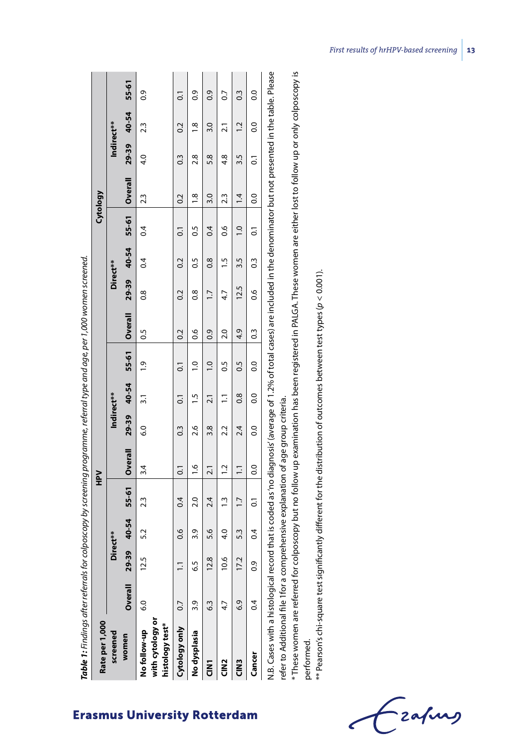| Rate per 1,000                                                                                                                                                                                                                                                 |               |          |                 |                  | ≧                |                  |                  |                   |                |                |               |                | Cytology        |                    |                  |                |
|----------------------------------------------------------------------------------------------------------------------------------------------------------------------------------------------------------------------------------------------------------------|---------------|----------|-----------------|------------------|------------------|------------------|------------------|-------------------|----------------|----------------|---------------|----------------|-----------------|--------------------|------------------|----------------|
| screened                                                                                                                                                                                                                                                       |               | Direct** |                 |                  |                  | Indirect**       |                  |                   |                | Direct**       |               |                |                 | Indirect**         |                  |                |
| women                                                                                                                                                                                                                                                          | Overall       | 29-39    | 40-54           |                  | 55-61   Overall  |                  |                  | 29-39 40-54 55-61 | <b>Overall</b> |                | 29-39 40-54   |                | 55-61   Overall | 29-39 40-54        |                  | 55-61          |
| with cytology or<br>histology test*<br>No follow-up                                                                                                                                                                                                            | $\frac{0}{6}$ | 12.5     | 5.2             | 23               | 3.4              | $\overline{6.0}$ | $\overline{3}$ . | $\ddot{6}$        | $\overline{0}$ | $\frac{8}{2}$  | 0.4           | 0.4            | 23              | 4.0                | 23               | 03             |
| Cytology only                                                                                                                                                                                                                                                  | 0.7           |          | $\frac{6}{10}$  | 0.4              | $\overline{c}$   | $\frac{3}{2}$    | $\overline{0}$   | $\overline{c}$    | 0.2            | 0.2            | $\sim$        | $\overline{c}$ | 0.2             | $0.\overline{3}$   | $\overline{0.2}$ | $\overline{c}$ |
| No dysplasia                                                                                                                                                                                                                                                   | 3.9           | بر<br>ف  | 3.9             | 2.0              | $\frac{0}{1}$    | 2.6              | $\frac{5}{1}$    | $\overline{0}$    | 0.6            | $\frac{8}{2}$  | <b>S.O</b>    | $\frac{5}{2}$  | $\frac{8}{1}$   | 2.8                | $\frac{8}{1}$    | 0.9            |
| <b>CINT</b>                                                                                                                                                                                                                                                    | 6.3           | œ        | 5.6             | 2.4              | $\overline{2.1}$ | 3.8              | 2.1              | $\overline{0}$    | 0.9            | $\overline{1}$ | $\frac{8}{2}$ | $\ddot{0}$     | 3.0             | 5.8                | 3.0              | $\frac{6}{2}$  |
| <b>CIND</b>                                                                                                                                                                                                                                                    | 4.7           | ڢ        | $\frac{4.0}{4}$ | $\ddot{ }$       | $\ddot{ }$ .     | 2.2              | $\overline{1}$   | S.O               | 2.0            | 4.7            | $\ddot{5}$    | 8.6            | 23              | 4.8                | $\overline{2.1}$ | $\overline{0}$ |
| <b>SAD</b>                                                                                                                                                                                                                                                     | 6.9           | Ņ        | 53              | $\overline{1.7}$ | $\Xi$            | 2.4              | 0.8              | $\frac{5}{2}$     | 4.9            | 12.5           | 3.5           | $\overline{0}$ | $\overline{14}$ | 3.5                | $\overline{5}$   | $\frac{3}{2}$  |
| Cancer                                                                                                                                                                                                                                                         | 0.4           | ö        | $\sim$          | 5                | C.O              | $\overline{0}$   | $\overline{0}$ . | 0.0               | $\frac{3}{2}$  | 0.6            | 03            | $\overline{c}$ | O.O             | $\overline{\circ}$ | o.o              | $\overline{0}$ |
| N.B. Cases with a histological record that is coded as no diagnosis (average of 1.2% of total cases) are included in the denominator but not presented in the table. Please<br>refer to Additional file 1for a comprehensive explanation of age group criteria |               |          |                 |                  |                  |                  |                  |                   |                |                |               |                |                 |                    |                  |                |

refer to Additional file 1for a comprehensive explanation of age group criteria. comprenensive explanation of a general criteria. erer co Aggiural rile

\* These women are referred for colposcopy but no follow up examination has been registered in PALGA. These women are either lost to follow up or only colposcopy is \* These women are referred for colposcopy but no follow up examination has been registered in PALGA. These women are either lost to follow up or only colposcopy is performed.

\*\* Pearson's chi-square test significantly different for the distribution of outcomes between test types (p < 0.001). \*\* Pearson's chi-square test significantly different for the distribution of outcomes between test types (*p* < 0.001).

- zafung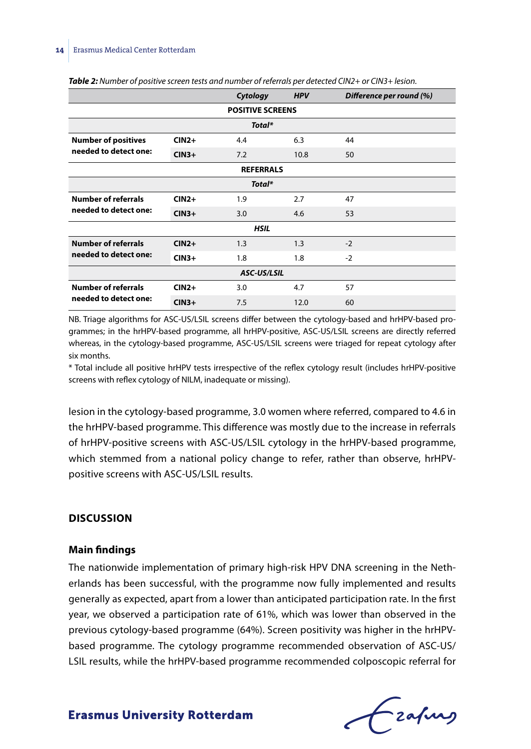|                            |         | Cytology                | <b>HPV</b> | Difference per round (%) |
|----------------------------|---------|-------------------------|------------|--------------------------|
|                            |         | <b>POSITIVE SCREENS</b> |            |                          |
|                            |         | Total*                  |            |                          |
| <b>Number of positives</b> | $CIN2+$ | 4.4                     | 6.3        | 44                       |
| needed to detect one:      | $CIN3+$ | 7.2                     | 10.8       | 50                       |
|                            |         | <b>REFERRALS</b>        |            |                          |
|                            |         | Total*                  |            |                          |
| <b>Number of referrals</b> | $CIN2+$ | 1.9                     | 2.7        | 47                       |
| needed to detect one:      | $CIN3+$ | 3.0                     | 4.6        | 53                       |
|                            |         | <b>HSIL</b>             |            |                          |
| <b>Number of referrals</b> | $CIN2+$ | 1.3                     | 1.3        | $-2$                     |
| needed to detect one:      | $CIN3+$ | 1.8                     | 1.8        | $-2$                     |
|                            |         | <b>ASC-US/LSIL</b>      |            |                          |
| <b>Number of referrals</b> | $CIN2+$ | 3.0                     | 4.7        | 57                       |
| needed to detect one:      | $CIN3+$ | 7.5                     | 12.0       | 60                       |

*Table 2: Number of positive screen tests and number of referrals per detected CIN2+ or CIN3+ lesion.*

NB. Triage algorithms for ASC-US/LSIL screens differ between the cytology-based and hrHPV-based programmes; in the hrHPV-based programme, all hrHPV-positive, ASC-US/LSIL screens are directly referred whereas, in the cytology-based programme, ASC-US/LSIL screens were triaged for repeat cytology after six months.

\* Total include all positive hrHPV tests irrespective of the reflex cytology result (includes hrHPV-positive screens with reflex cytology of NILM, inadequate or missing).

lesion in the cytology-based programme, 3.0 women where referred, compared to 4.6 in the hrHPV-based programme. This difference was mostly due to the increase in referrals of hrHPV-positive screens with ASC-US/LSIL cytology in the hrHPV-based programme, which stemmed from a national policy change to refer, rather than observe, hrHPVpositive screens with ASC-US/LSIL results.

#### **DISCUSSION**

#### **Main findings**

The nationwide implementation of primary high-risk HPV DNA screening in the Netherlands has been successful, with the programme now fully implemented and results generally as expected, apart from a lower than anticipated participation rate. In the first year, we observed a participation rate of 61%, which was lower than observed in the previous cytology-based programme (64%). Screen positivity was higher in the hrHPVbased programme. The cytology programme recommended observation of ASC-US/ LSIL results, while the hrHPV-based programme recommended colposcopic referral for

frafing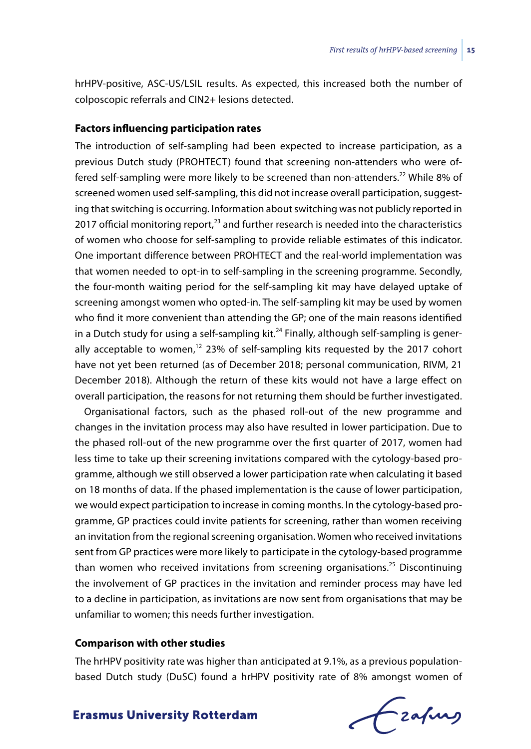hrHPV-positive, ASC-US/LSIL results. As expected, this increased both the number of colposcopic referrals and CIN2+ lesions detected.

#### **Factors influencing participation rates**

The introduction of self-sampling had been expected to increase participation, as a previous Dutch study (PROHTECT) found that screening non-attenders who were offered self-sampling were more likely to be screened than non-attenders.<sup>22</sup> While 8% of screened women used self-sampling, this did not increase overall participation, suggesting that switching is occurring. Information about switching was not publicly reported in 2017 official monitoring report, $^{23}$  and further research is needed into the characteristics of women who choose for self-sampling to provide reliable estimates of this indicator. One important difference between PROHTECT and the real-world implementation was that women needed to opt-in to self-sampling in the screening programme. Secondly, the four-month waiting period for the self-sampling kit may have delayed uptake of screening amongst women who opted-in. The self-sampling kit may be used by women who find it more convenient than attending the GP; one of the main reasons identified in a Dutch study for using a self-sampling kit.<sup>24</sup> Finally, although self-sampling is generally acceptable to women, $12$  23% of self-sampling kits requested by the 2017 cohort have not yet been returned (as of December 2018; personal communication, RIVM, 21 December 2018). Although the return of these kits would not have a large effect on overall participation, the reasons for not returning them should be further investigated.

Organisational factors, such as the phased roll-out of the new programme and changes in the invitation process may also have resulted in lower participation. Due to the phased roll-out of the new programme over the first quarter of 2017, women had less time to take up their screening invitations compared with the cytology-based programme, although we still observed a lower participation rate when calculating it based on 18 months of data. If the phased implementation is the cause of lower participation, we would expect participation to increase in coming months. In the cytology-based programme, GP practices could invite patients for screening, rather than women receiving an invitation from the regional screening organisation. Women who received invitations sent from GP practices were more likely to participate in the cytology-based programme than women who received invitations from screening organisations.<sup>25</sup> Discontinuing the involvement of GP practices in the invitation and reminder process may have led to a decline in participation, as invitations are now sent from organisations that may be unfamiliar to women; this needs further investigation.

#### **Comparison with other studies**

The hrHPV positivity rate was higher than anticipated at 9.1%, as a previous populationbased Dutch study (DuSC) found a hrHPV positivity rate of 8% amongst women of

frafing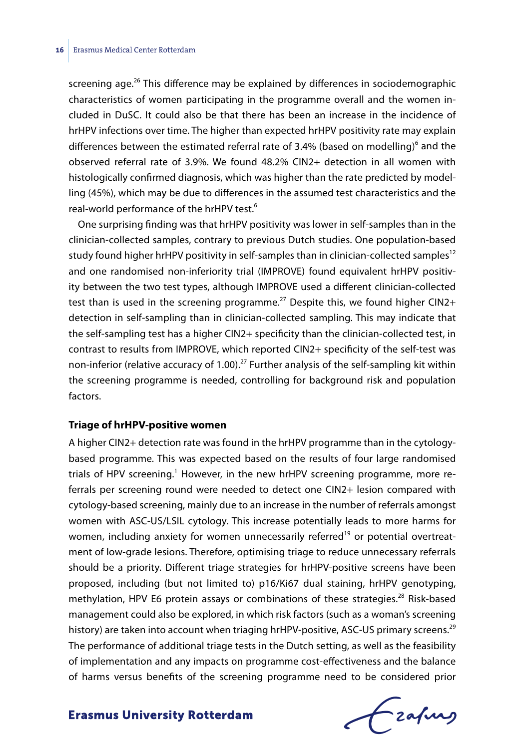screening age.<sup>26</sup> This difference may be explained by differences in sociodemographic characteristics of women participating in the programme overall and the women included in DuSC. It could also be that there has been an increase in the incidence of hrHPV infections over time. The higher than expected hrHPV positivity rate may explain differences between the estimated referral rate of 3.4% (based on modelling)<sup>6</sup> and the observed referral rate of 3.9%. We found 48.2% CIN2+ detection in all women with histologically confirmed diagnosis, which was higher than the rate predicted by modelling (45%), which may be due to differences in the assumed test characteristics and the real-world performance of the hrHPV test.<sup>6</sup>

One surprising finding was that hrHPV positivity was lower in self-samples than in the clinician-collected samples, contrary to previous Dutch studies. One population-based study found higher hrHPV positivity in self-samples than in clinician-collected samples<sup>12</sup> and one randomised non-inferiority trial (IMPROVE) found equivalent hrHPV positivity between the two test types, although IMPROVE used a different clinician-collected test than is used in the screening programme.<sup>27</sup> Despite this, we found higher  $CIN2+$ detection in self-sampling than in clinician-collected sampling. This may indicate that the self-sampling test has a higher CIN2+ specificity than the clinician-collected test, in contrast to results from IMPROVE, which reported CIN2+ specificity of the self-test was non-inferior (relative accuracy of 1.00).<sup>27</sup> Further analysis of the self-sampling kit within the screening programme is needed, controlling for background risk and population factors.

#### **Triage of hrHPV-positive women**

A higher CIN2+ detection rate was found in the hrHPV programme than in the cytologybased programme. This was expected based on the results of four large randomised trials of HPV screening.<sup>1</sup> However, in the new hrHPV screening programme, more referrals per screening round were needed to detect one CIN2+ lesion compared with cytology-based screening, mainly due to an increase in the number of referrals amongst women with ASC-US/LSIL cytology. This increase potentially leads to more harms for women, including anxiety for women unnecessarily referred<sup>19</sup> or potential overtreatment of low-grade lesions. Therefore, optimising triage to reduce unnecessary referrals should be a priority. Different triage strategies for hrHPV-positive screens have been proposed, including (but not limited to) p16/Ki67 dual staining, hrHPV genotyping, methylation, HPV E6 protein assays or combinations of these strategies.<sup>28</sup> Risk-based management could also be explored, in which risk factors (such as a woman's screening history) are taken into account when triaging hrHPV-positive, ASC-US primary screens.<sup>29</sup> The performance of additional triage tests in the Dutch setting, as well as the feasibility of implementation and any impacts on programme cost-effectiveness and the balance of harms versus benefits of the screening programme need to be considered prior

frafing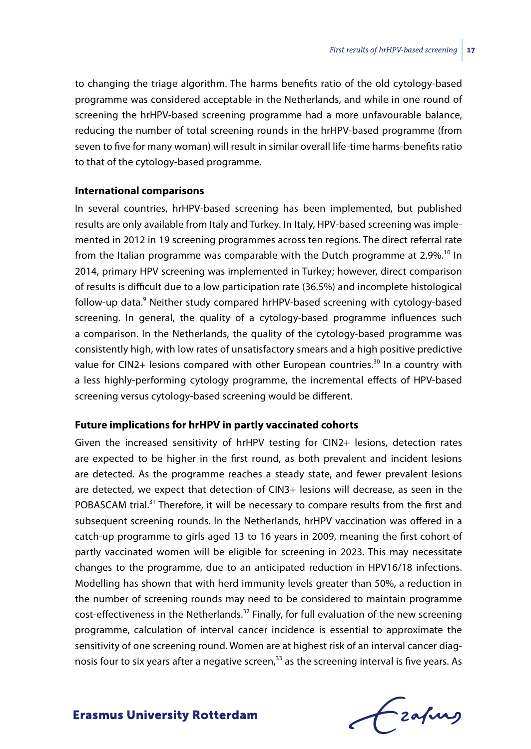to changing the triage algorithm. The harms benefits ratio of the old cytology-based programme was considered acceptable in the Netherlands, and while in one round of screening the hrHPV-based screening programme had a more unfavourable balance, reducing the number of total screening rounds in the hrHPV-based programme (from seven to five for many woman) will result in similar overall life-time harms-benefits ratio to that of the cytology-based programme.

#### **International comparisons**

In several countries, hrHPV-based screening has been implemented, but published results are only available from Italy and Turkey. In Italy, HPV-based screening was implemented in 2012 in 19 screening programmes across ten regions. The direct referral rate from the Italian programme was comparable with the Dutch programme at 2.9%.<sup>10</sup> In 2014, primary HPV screening was implemented in Turkey; however, direct comparison of results is difficult due to a low participation rate (36.5%) and incomplete histological follow-up data.<sup>9</sup> Neither study compared hrHPV-based screening with cytology-based screening. In general, the quality of a cytology-based programme influences such a comparison. In the Netherlands, the quality of the cytology-based programme was consistently high, with low rates of unsatisfactory smears and a high positive predictive value for CIN2+ lesions compared with other European countries.<sup>30</sup> In a country with a less highly-performing cytology programme, the incremental effects of HPV-based screening versus cytology-based screening would be different.

#### **Future implications for hrHPV in partly vaccinated cohorts**

Given the increased sensitivity of hrHPV testing for CIN2+ lesions, detection rates are expected to be higher in the first round, as both prevalent and incident lesions are detected. As the programme reaches a steady state, and fewer prevalent lesions are detected, we expect that detection of CIN3+ lesions will decrease, as seen in the POBASCAM trial.<sup>31</sup> Therefore, it will be necessary to compare results from the first and subsequent screening rounds. In the Netherlands, hrHPV vaccination was offered in a catch-up programme to girls aged 13 to 16 years in 2009, meaning the first cohort of partly vaccinated women will be eligible for screening in 2023. This may necessitate changes to the programme, due to an anticipated reduction in HPV16/18 infections. Modelling has shown that with herd immunity levels greater than 50%, a reduction in the number of screening rounds may need to be considered to maintain programme cost-effectiveness in the Netherlands.<sup>32</sup> Finally, for full evaluation of the new screening programme, calculation of interval cancer incidence is essential to approximate the sensitivity of one screening round. Women are at highest risk of an interval cancer diagnosis four to six years after a negative screen,<sup>33</sup> as the screening interval is five years. As

Frahing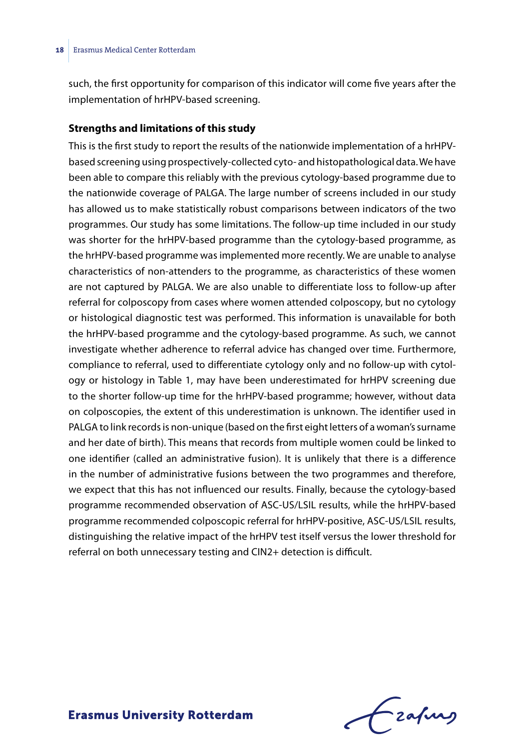such, the first opportunity for comparison of this indicator will come five years after the implementation of hrHPV-based screening.

#### **Strengths and limitations of this study**

This is the first study to report the results of the nationwide implementation of a hrHPVbased screening using prospectively-collected cyto- and histopathological data. We have been able to compare this reliably with the previous cytology-based programme due to the nationwide coverage of PALGA. The large number of screens included in our study has allowed us to make statistically robust comparisons between indicators of the two programmes. Our study has some limitations. The follow-up time included in our study was shorter for the hrHPV-based programme than the cytology-based programme, as the hrHPV-based programme was implemented more recently. We are unable to analyse characteristics of non-attenders to the programme, as characteristics of these women are not captured by PALGA. We are also unable to differentiate loss to follow-up after referral for colposcopy from cases where women attended colposcopy, but no cytology or histological diagnostic test was performed. This information is unavailable for both the hrHPV-based programme and the cytology-based programme. As such, we cannot investigate whether adherence to referral advice has changed over time. Furthermore, compliance to referral, used to differentiate cytology only and no follow-up with cytology or histology in Table 1, may have been underestimated for hrHPV screening due to the shorter follow-up time for the hrHPV-based programme; however, without data on colposcopies, the extent of this underestimation is unknown. The identifier used in PALGA to link records is non-unique (based on the first eight letters of a woman's surname and her date of birth). This means that records from multiple women could be linked to one identifier (called an administrative fusion). It is unlikely that there is a difference in the number of administrative fusions between the two programmes and therefore, we expect that this has not influenced our results. Finally, because the cytology-based programme recommended observation of ASC-US/LSIL results, while the hrHPV-based programme recommended colposcopic referral for hrHPV-positive, ASC-US/LSIL results, distinguishing the relative impact of the hrHPV test itself versus the lower threshold for referral on both unnecessary testing and CIN2+ detection is difficult.

Frahing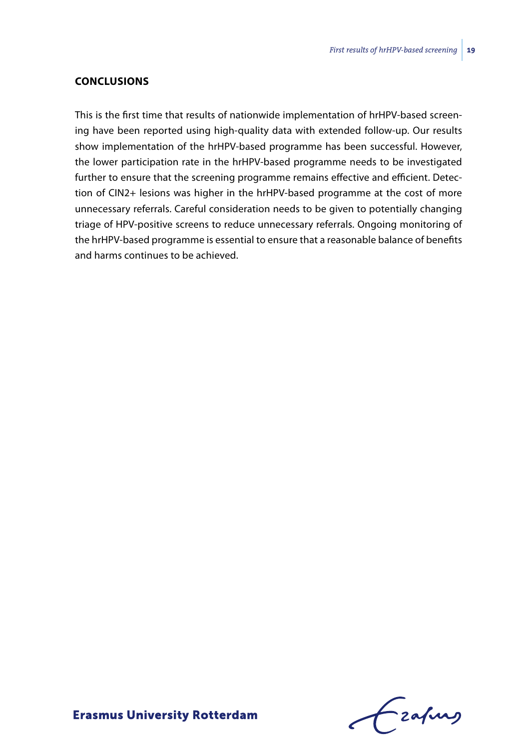#### **CONCLUSIONS**

This is the first time that results of nationwide implementation of hrHPV-based screening have been reported using high-quality data with extended follow-up. Our results show implementation of the hrHPV-based programme has been successful. However, the lower participation rate in the hrHPV-based programme needs to be investigated further to ensure that the screening programme remains effective and efficient. Detection of CIN2+ lesions was higher in the hrHPV-based programme at the cost of more unnecessary referrals. Careful consideration needs to be given to potentially changing triage of HPV-positive screens to reduce unnecessary referrals. Ongoing monitoring of the hrHPV-based programme is essential to ensure that a reasonable balance of benefits and harms continues to be achieved.

Frahing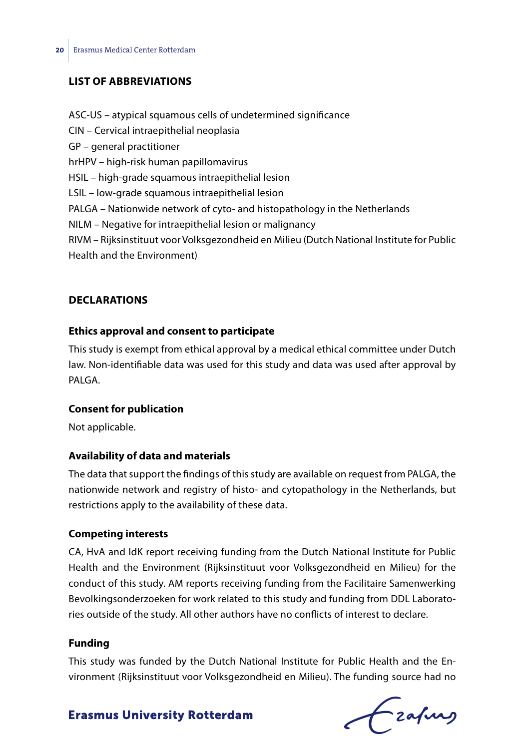#### **LIST OF ABBREVIATIONS**

- ASC-US atypical squamous cells of undetermined significance CIN – Cervical intraepithelial neoplasia GP – general practitioner hrHPV – high-risk human papillomavirus HSIL – high-grade squamous intraepithelial lesion LSIL – low-grade squamous intraepithelial lesion PALGA – Nationwide network of cyto- and histopathology in the Netherlands NILM – Negative for intraepithelial lesion or malignancy RIVM – Rijksinstituut voor Volksgezondheid en Milieu (Dutch National Institute for Public
- Health and the Environment)

#### **DECLARATIONS**

#### **Ethics approval and consent to participate**

This study is exempt from ethical approval by a medical ethical committee under Dutch law. Non-identifiable data was used for this study and data was used after approval by PALGA<sub>.</sub>

#### **Consent for publication**

Not applicable.

#### **Availability of data and materials**

The data that support the findings of this study are available on request from PALGA, the nationwide network and registry of histo- and cytopathology in the Netherlands, but restrictions apply to the availability of these data.

#### **Competing interests**

CA, HvA and IdK report receiving funding from the Dutch National Institute for Public Health and the Environment (Rijksinstituut voor Volksgezondheid en Milieu) for the conduct of this study. AM reports receiving funding from the Facilitaire Samenwerking Bevolkingsonderzoeken for work related to this study and funding from DDL Laboratories outside of the study. All other authors have no conflicts of interest to declare.

#### **Funding**

This study was funded by the Dutch National Institute for Public Health and the Environment (Rijksinstituut voor Volksgezondheid en Milieu). The funding source had no

# Czafung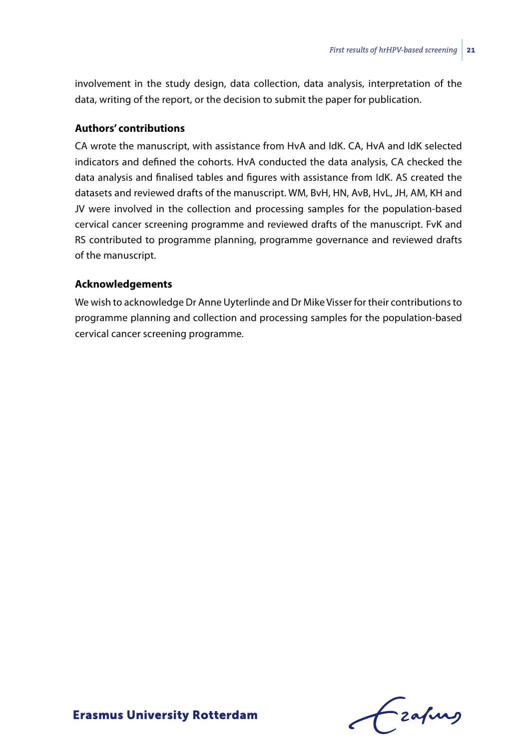involvement in the study design, data collection, data analysis, interpretation of the data, writing of the report, or the decision to submit the paper for publication.

#### **Authors' contributions**

CA wrote the manuscript, with assistance from HvA and IdK. CA, HvA and IdK selected indicators and defined the cohorts. HvA conducted the data analysis, CA checked the data analysis and finalised tables and figures with assistance from IdK. AS created the datasets and reviewed drafts of the manuscript. WM, BvH, HN, AvB, HvL, JH, AM, KH and JV were involved in the collection and processing samples for the population-based cervical cancer screening programme and reviewed drafts of the manuscript. FvK and RS contributed to programme planning, programme governance and reviewed drafts of the manuscript.

#### **Acknowledgements**

We wish to acknowledge Dr Anne Uyterlinde and Dr Mike Visser for their contributions to programme planning and collection and processing samples for the population-based cervical cancer screening programme.

Frahing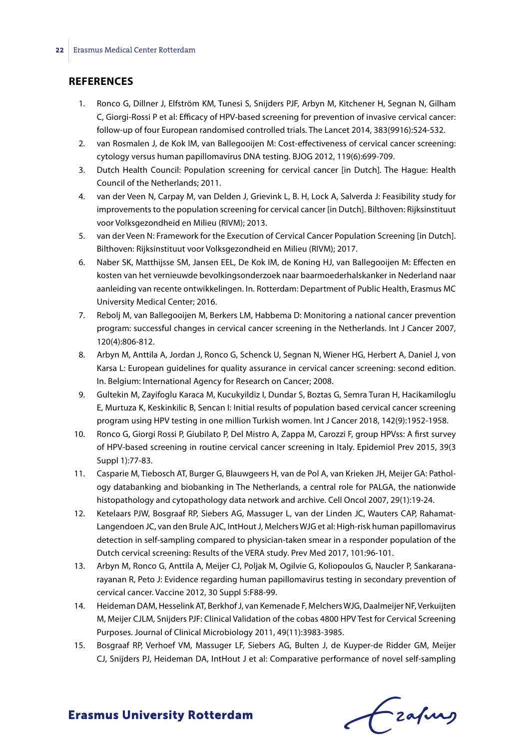#### **REFERENCES**

- 1. Ronco G, Dillner J, Elfström KM, Tunesi S, Snijders PJF, Arbyn M, Kitchener H, Segnan N, Gilham C, Giorgi-Rossi P et al: Efficacy of HPV-based screening for prevention of invasive cervical cancer: follow-up of four European randomised controlled trials. The Lancet 2014, 383(9916):524-532.
- 2. van Rosmalen J, de Kok IM, van Ballegooijen M: Cost-effectiveness of cervical cancer screening: cytology versus human papillomavirus DNA testing. BJOG 2012, 119(6):699-709.
- 3. Dutch Health Council: Population screening for cervical cancer [in Dutch]. The Hague: Health Council of the Netherlands; 2011.
- 4. van der Veen N, Carpay M, van Delden J, Grievink L, B. H, Lock A, Salverda J: Feasibility study for improvements to the population screening for cervical cancer [in Dutch]. Bilthoven: Rijksinstituut voor Volksgezondheid en Milieu (RIVM); 2013.
- 5. van der Veen N: Framework for the Execution of Cervical Cancer Population Screening [in Dutch]. Bilthoven: Rijksinstituut voor Volksgezondheid en Milieu (RIVM); 2017.
- 6. Naber SK, Matthijsse SM, Jansen EEL, De Kok IM, de Koning HJ, van Ballegooijen M: Effecten en kosten van het vernieuwde bevolkingsonderzoek naar baarmoederhalskanker in Nederland naar aanleiding van recente ontwikkelingen. In. Rotterdam: Department of Public Health, Erasmus MC University Medical Center; 2016.
- 7. Rebolj M, van Ballegooijen M, Berkers LM, Habbema D: Monitoring a national cancer prevention program: successful changes in cervical cancer screening in the Netherlands. Int J Cancer 2007, 120(4):806-812.
- 8. Arbyn M, Anttila A, Jordan J, Ronco G, Schenck U, Segnan N, Wiener HG, Herbert A, Daniel J, von Karsa L: European guidelines for quality assurance in cervical cancer screening: second edition. In. Belgium: International Agency for Research on Cancer; 2008.
- 9. Gultekin M, Zayifoglu Karaca M, Kucukyildiz I, Dundar S, Boztas G, Semra Turan H, Hacikamiloglu E, Murtuza K, Keskinkilic B, Sencan I: Initial results of population based cervical cancer screening program using HPV testing in one million Turkish women. Int J Cancer 2018, 142(9):1952-1958.
- 10. Ronco G, Giorgi Rossi P, Giubilato P, Del Mistro A, Zappa M, Carozzi F, group HPVss: A first survey of HPV-based screening in routine cervical cancer screening in Italy. Epidemiol Prev 2015, 39(3 Suppl 1):77-83.
- 11. Casparie M, Tiebosch AT, Burger G, Blauwgeers H, van de Pol A, van Krieken JH, Meijer GA: Pathology databanking and biobanking in The Netherlands, a central role for PALGA, the nationwide histopathology and cytopathology data network and archive. Cell Oncol 2007, 29(1):19-24.
- 12. Ketelaars PJW, Bosgraaf RP, Siebers AG, Massuger L, van der Linden JC, Wauters CAP, Rahamat-Langendoen JC, van den Brule AJC, IntHout J, Melchers WJG et al: High-risk human papillomavirus detection in self-sampling compared to physician-taken smear in a responder population of the Dutch cervical screening: Results of the VERA study. Prev Med 2017, 101:96-101.
- 13. Arbyn M, Ronco G, Anttila A, Meijer CJ, Poljak M, Ogilvie G, Koliopoulos G, Naucler P, Sankaranarayanan R, Peto J: Evidence regarding human papillomavirus testing in secondary prevention of cervical cancer. Vaccine 2012, 30 Suppl 5:F88-99.
- 14. Heideman DAM, Hesselink AT, Berkhof J, van Kemenade F, Melchers WJG, Daalmeijer NF, Verkuijten M, Meijer CJLM, Snijders PJF: Clinical Validation of the cobas 4800 HPV Test for Cervical Screening Purposes. Journal of Clinical Microbiology 2011, 49(11):3983-3985.
- 15. Bosgraaf RP, Verhoef VM, Massuger LF, Siebers AG, Bulten J, de Kuyper-de Ridder GM, Meijer CJ, Snijders PJ, Heideman DA, IntHout J et al: Comparative performance of novel self-sampling

Frahing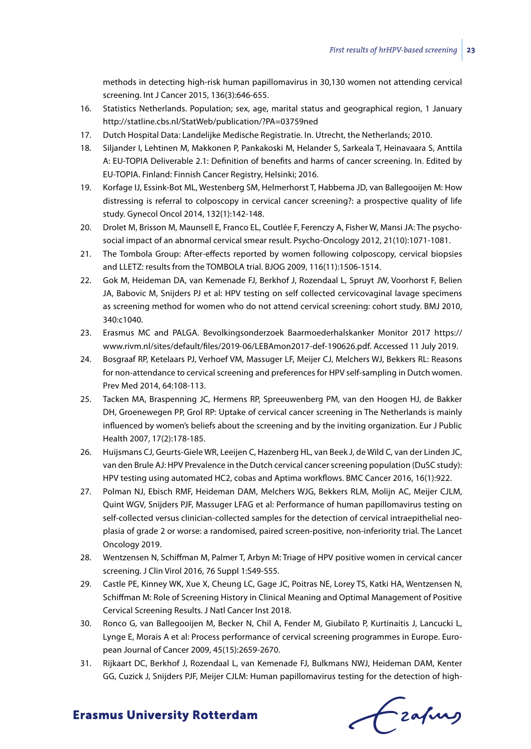methods in detecting high-risk human papillomavirus in 30,130 women not attending cervical screening. Int J Cancer 2015, 136(3):646-655.

- 16. Statistics Netherlands. Population; sex, age, marital status and geographical region, 1 January http://statline.cbs.nl/StatWeb/publication/?PA=03759ned
- 17. Dutch Hospital Data: Landelijke Medische Registratie. In. Utrecht, the Netherlands; 2010.
- 18. Siljander I, Lehtinen M, Makkonen P, Pankakoski M, Helander S, Sarkeala T, Heinavaara S, Anttila A: EU-TOPIA Deliverable 2.1: Definition of benefits and harms of cancer screening. In. Edited by EU-TOPIA. Finland: Finnish Cancer Registry, Helsinki; 2016.
- 19. Korfage IJ, Essink-Bot ML, Westenberg SM, Helmerhorst T, Habbema JD, van Ballegooijen M: How distressing is referral to colposcopy in cervical cancer screening?: a prospective quality of life study. Gynecol Oncol 2014, 132(1):142-148.
- 20. Drolet M, Brisson M, Maunsell E, Franco EL, Coutlée F, Ferenczy A, Fisher W, Mansi JA: The psychosocial impact of an abnormal cervical smear result. Psycho-Oncology 2012, 21(10):1071-1081.
- 21. The Tombola Group: After-effects reported by women following colposcopy, cervical biopsies and LLETZ: results from the TOMBOLA trial. BJOG 2009, 116(11):1506-1514.
- 22. Gok M, Heideman DA, van Kemenade FJ, Berkhof J, Rozendaal L, Spruyt JW, Voorhorst F, Belien JA, Babovic M, Snijders PJ et al: HPV testing on self collected cervicovaginal lavage specimens as screening method for women who do not attend cervical screening: cohort study. BMJ 2010, 340:c1040.
- 23. Erasmus MC and PALGA. Bevolkingsonderzoek Baarmoederhalskanker Monitor 2017 https:// www.rivm.nl/sites/default/files/2019-06/LEBAmon2017-def-190626.pdf. Accessed 11 July 2019.
- 24. Bosgraaf RP, Ketelaars PJ, Verhoef VM, Massuger LF, Meijer CJ, Melchers WJ, Bekkers RL: Reasons for non-attendance to cervical screening and preferences for HPV self-sampling in Dutch women. Prev Med 2014, 64:108-113.
- 25. Tacken MA, Braspenning JC, Hermens RP, Spreeuwenberg PM, van den Hoogen HJ, de Bakker DH, Groenewegen PP, Grol RP: Uptake of cervical cancer screening in The Netherlands is mainly influenced by women's beliefs about the screening and by the inviting organization. Eur J Public Health 2007, 17(2):178-185.
- 26. Huijsmans CJ, Geurts-Giele WR, Leeijen C, Hazenberg HL, van Beek J, de Wild C, van der Linden JC, van den Brule AJ: HPV Prevalence in the Dutch cervical cancer screening population (DuSC study): HPV testing using automated HC2, cobas and Aptima workflows. BMC Cancer 2016, 16(1):922.
- 27. Polman NJ, Ebisch RMF, Heideman DAM, Melchers WJG, Bekkers RLM, Molijn AC, Meijer CJLM, Quint WGV, Snijders PJF, Massuger LFAG et al: Performance of human papillomavirus testing on self-collected versus clinician-collected samples for the detection of cervical intraepithelial neoplasia of grade 2 or worse: a randomised, paired screen-positive, non-inferiority trial. The Lancet Oncology 2019.
- 28. Wentzensen N, Schiffman M, Palmer T, Arbyn M: Triage of HPV positive women in cervical cancer screening. J Clin Virol 2016, 76 Suppl 1:S49-S55.
- 29. Castle PE, Kinney WK, Xue X, Cheung LC, Gage JC, Poitras NE, Lorey TS, Katki HA, Wentzensen N, Schiffman M: Role of Screening History in Clinical Meaning and Optimal Management of Positive Cervical Screening Results. J Natl Cancer Inst 2018.
- 30. Ronco G, van Ballegooijen M, Becker N, Chil A, Fender M, Giubilato P, Kurtinaitis J, Lancucki L, Lynge E, Morais A et al: Process performance of cervical screening programmes in Europe. European Journal of Cancer 2009, 45(15):2659-2670.
- 31. Rijkaart DC, Berkhof J, Rozendaal L, van Kemenade FJ, Bulkmans NWJ, Heideman DAM, Kenter GG, Cuzick J, Snijders PJF, Meijer CJLM: Human papillomavirus testing for the detection of high-

Czafing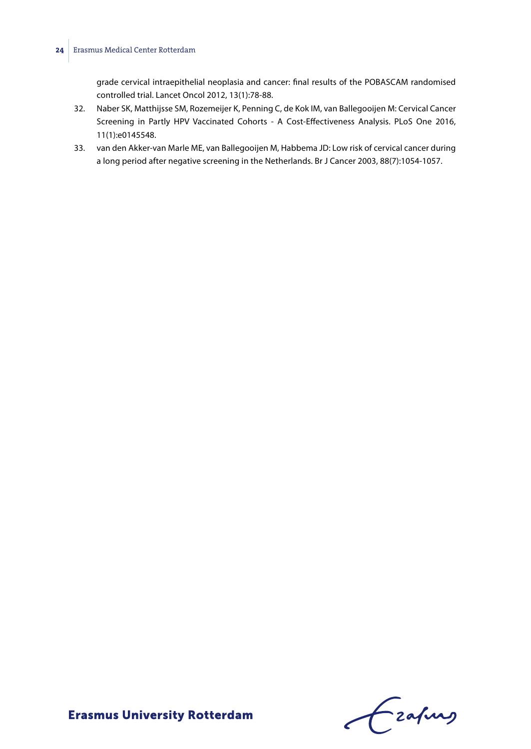#### **24** Erasmus Medical Center Rotterdam

grade cervical intraepithelial neoplasia and cancer: final results of the POBASCAM randomised controlled trial. Lancet Oncol 2012, 13(1):78-88.

- 32. Naber SK, Matthijsse SM, Rozemeijer K, Penning C, de Kok IM, van Ballegooijen M: Cervical Cancer Screening in Partly HPV Vaccinated Cohorts - A Cost-Effectiveness Analysis. PLoS One 2016, 11(1):e0145548.
- 33. van den Akker-van Marle ME, van Ballegooijen M, Habbema JD: Low risk of cervical cancer during a long period after negative screening in the Netherlands. Br J Cancer 2003, 88(7):1054-1057.

Czapus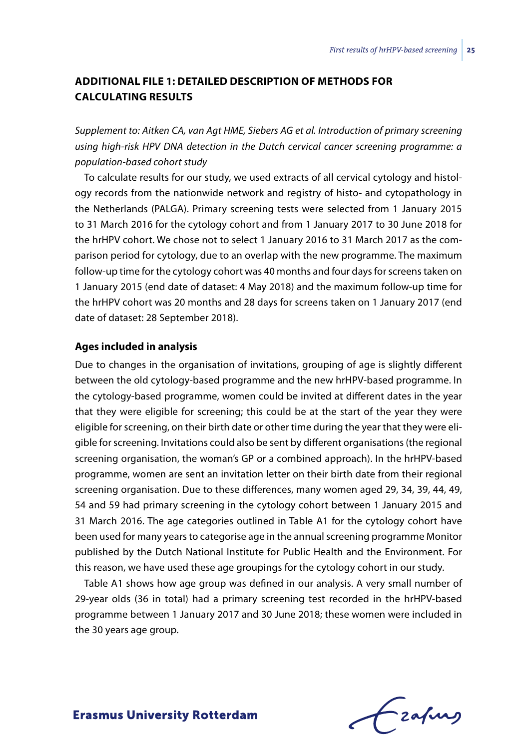# **Additional file 1: Detailed description of methods for calculating results**

*Supplement to: Aitken CA, van Agt HME, Siebers AG et al. Introduction of primary screening using high-risk HPV DNA detection in the Dutch cervical cancer screening programme: a population-based cohort study*

To calculate results for our study, we used extracts of all cervical cytology and histology records from the nationwide network and registry of histo- and cytopathology in the Netherlands (PALGA). Primary screening tests were selected from 1 January 2015 to 31 March 2016 for the cytology cohort and from 1 January 2017 to 30 June 2018 for the hrHPV cohort. We chose not to select 1 January 2016 to 31 March 2017 as the comparison period for cytology, due to an overlap with the new programme. The maximum follow-up time for the cytology cohort was 40 months and four days for screens taken on 1 January 2015 (end date of dataset: 4 May 2018) and the maximum follow-up time for the hrHPV cohort was 20 months and 28 days for screens taken on 1 January 2017 (end date of dataset: 28 September 2018).

#### **Ages included in analysis**

Due to changes in the organisation of invitations, grouping of age is slightly different between the old cytology-based programme and the new hrHPV-based programme. In the cytology-based programme, women could be invited at different dates in the year that they were eligible for screening; this could be at the start of the year they were eligible for screening, on their birth date or other time during the year that they were eligible for screening. Invitations could also be sent by different organisations (the regional screening organisation, the woman's GP or a combined approach). In the hrHPV-based programme, women are sent an invitation letter on their birth date from their regional screening organisation. Due to these differences, many women aged 29, 34, 39, 44, 49, 54 and 59 had primary screening in the cytology cohort between 1 January 2015 and 31 March 2016. The age categories outlined in Table A1 for the cytology cohort have been used for many years to categorise age in the annual screening programme Monitor published by the Dutch National Institute for Public Health and the Environment. For this reason, we have used these age groupings for the cytology cohort in our study.

Table A1 shows how age group was defined in our analysis. A very small number of 29-year olds (36 in total) had a primary screening test recorded in the hrHPV-based programme between 1 January 2017 and 30 June 2018; these women were included in the 30 years age group.

Lzafurs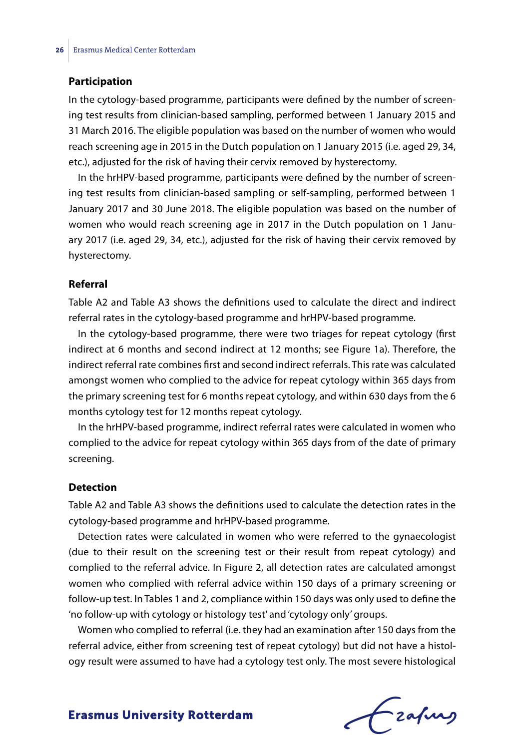#### **Participation**

In the cytology-based programme, participants were defined by the number of screening test results from clinician-based sampling, performed between 1 January 2015 and 31 March 2016. The eligible population was based on the number of women who would reach screening age in 2015 in the Dutch population on 1 January 2015 (i.e. aged 29, 34, etc.), adjusted for the risk of having their cervix removed by hysterectomy.

In the hrHPV-based programme, participants were defined by the number of screening test results from clinician-based sampling or self-sampling, performed between 1 January 2017 and 30 June 2018. The eligible population was based on the number of women who would reach screening age in 2017 in the Dutch population on 1 January 2017 (i.e. aged 29, 34, etc.), adjusted for the risk of having their cervix removed by hysterectomy.

#### **Referral**

Table A2 and Table A3 shows the definitions used to calculate the direct and indirect referral rates in the cytology-based programme and hrHPV-based programme.

In the cytology-based programme, there were two triages for repeat cytology (first indirect at 6 months and second indirect at 12 months; see Figure 1a). Therefore, the indirect referral rate combines first and second indirect referrals. This rate was calculated amongst women who complied to the advice for repeat cytology within 365 days from the primary screening test for 6 months repeat cytology, and within 630 days from the 6 months cytology test for 12 months repeat cytology.

In the hrHPV-based programme, indirect referral rates were calculated in women who complied to the advice for repeat cytology within 365 days from of the date of primary screening.

#### **Detection**

Table A2 and Table A3 shows the definitions used to calculate the detection rates in the cytology-based programme and hrHPV-based programme.

Detection rates were calculated in women who were referred to the gynaecologist (due to their result on the screening test or their result from repeat cytology) and complied to the referral advice. In Figure 2, all detection rates are calculated amongst women who complied with referral advice within 150 days of a primary screening or follow-up test. In Tables 1 and 2, compliance within 150 days was only used to define the 'no follow-up with cytology or histology test' and 'cytology only' groups.

Women who complied to referral (i.e. they had an examination after 150 days from the referral advice, either from screening test of repeat cytology) but did not have a histology result were assumed to have had a cytology test only. The most severe histological

Czafing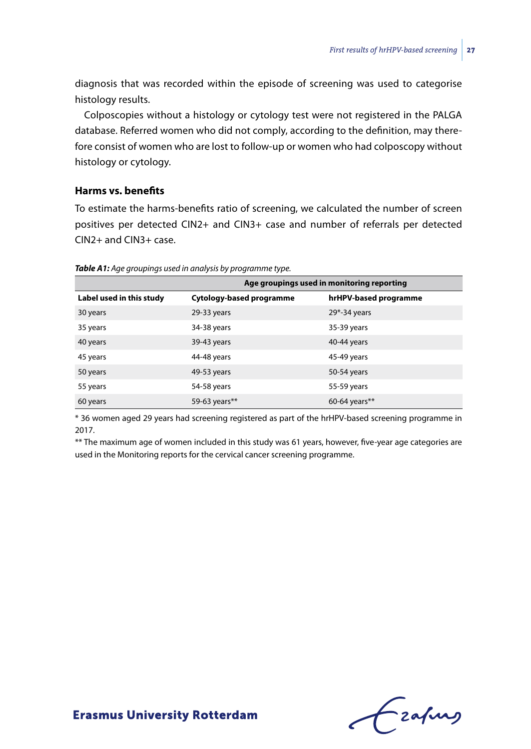diagnosis that was recorded within the episode of screening was used to categorise histology results.

Colposcopies without a histology or cytology test were not registered in the PALGA database. Referred women who did not comply, according to the definition, may therefore consist of women who are lost to follow-up or women who had colposcopy without histology or cytology.

#### **Harms vs. benefits**

To estimate the harms-benefits ratio of screening, we calculated the number of screen positives per detected CIN2+ and CIN3+ case and number of referrals per detected CIN2+ and CIN3+ case.

|                          | Age groupings used in monitoring reporting |                       |
|--------------------------|--------------------------------------------|-----------------------|
| Label used in this study | Cytology-based programme                   | hrHPV-based programme |
| 30 years                 | 29-33 years                                | $29*-34$ years        |
| 35 years                 | 34-38 years                                | 35-39 years           |
| 40 years                 | 39-43 years                                | 40-44 years           |
| 45 years                 | 44-48 years                                | 45-49 years           |
| 50 years                 | 49-53 years                                | 50-54 years           |
| 55 years                 | 54-58 years                                | 55-59 years           |
| 60 years                 | 59-63 years**                              | 60-64 years**         |

*Table A1: Age groupings used in analysis by programme type.*

\* 36 women aged 29 years had screening registered as part of the hrHPV-based screening programme in 2017.

\*\* The maximum age of women included in this study was 61 years, however, five-year age categories are used in the Monitoring reports for the cervical cancer screening programme.

Frahing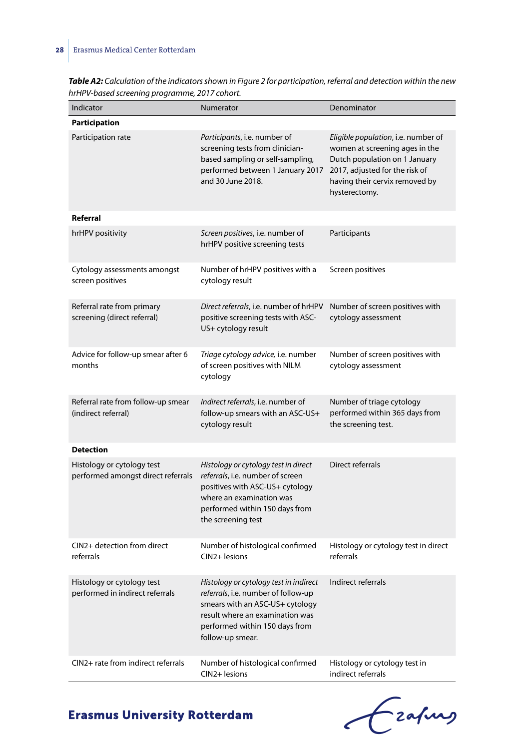| Indicator                                                        | Numerator                                                                                                                                                                                                 | Denominator                                                                                                                                                                                 |
|------------------------------------------------------------------|-----------------------------------------------------------------------------------------------------------------------------------------------------------------------------------------------------------|---------------------------------------------------------------------------------------------------------------------------------------------------------------------------------------------|
| <b>Participation</b>                                             |                                                                                                                                                                                                           |                                                                                                                                                                                             |
| Participation rate                                               | Participants, i.e. number of<br>screening tests from clinician-<br>based sampling or self-sampling,<br>performed between 1 January 2017<br>and 30 June 2018.                                              | Eligible population, i.e. number of<br>women at screening ages in the<br>Dutch population on 1 January<br>2017, adjusted for the risk of<br>having their cervix removed by<br>hysterectomy. |
| Referral                                                         |                                                                                                                                                                                                           |                                                                                                                                                                                             |
| hrHPV positivity                                                 | Screen positives, i.e. number of<br>hrHPV positive screening tests                                                                                                                                        | Participants                                                                                                                                                                                |
| Cytology assessments amongst<br>screen positives                 | Number of hrHPV positives with a<br>cytology result                                                                                                                                                       | Screen positives                                                                                                                                                                            |
| Referral rate from primary<br>screening (direct referral)        | Direct referrals, i.e. number of hrHPV<br>positive screening tests with ASC-<br>US+ cytology result                                                                                                       | Number of screen positives with<br>cytology assessment                                                                                                                                      |
| Advice for follow-up smear after 6<br>months                     | Triage cytology advice, i.e. number<br>of screen positives with NILM<br>cytology                                                                                                                          | Number of screen positives with<br>cytology assessment                                                                                                                                      |
| Referral rate from follow-up smear<br>(indirect referral)        | Indirect referrals, i.e. number of<br>follow-up smears with an ASC-US+<br>cytology result                                                                                                                 | Number of triage cytology<br>performed within 365 days from<br>the screening test.                                                                                                          |
| <b>Detection</b>                                                 |                                                                                                                                                                                                           |                                                                                                                                                                                             |
| Histology or cytology test<br>performed amongst direct referrals | Histology or cytology test in direct<br>referrals, i.e. number of screen<br>positives with ASC-US+ cytology<br>where an examination was<br>performed within 150 days from<br>the screening test           | Direct referrals                                                                                                                                                                            |
| CIN2+ detection from direct<br>referrals                         | Number of histological confirmed<br>CIN2+ lesions                                                                                                                                                         | Histology or cytology test in direct<br>referrals                                                                                                                                           |
| Histology or cytology test<br>performed in indirect referrals    | Histology or cytology test in indirect<br>referrals, i.e. number of follow-up<br>smears with an ASC-US+ cytology<br>result where an examination was<br>performed within 150 days from<br>follow-up smear. | Indirect referrals                                                                                                                                                                          |
| CIN2+ rate from indirect referrals                               | Number of histological confirmed<br>CIN2+ lesions                                                                                                                                                         | Histology or cytology test in<br>indirect referrals                                                                                                                                         |

*Table A2: Calculation of the indicators shown in Figure 2 for participation, referral and detection within the new hrHPV-based screening programme, 2017 cohort.*

# Crahus  $\epsilon$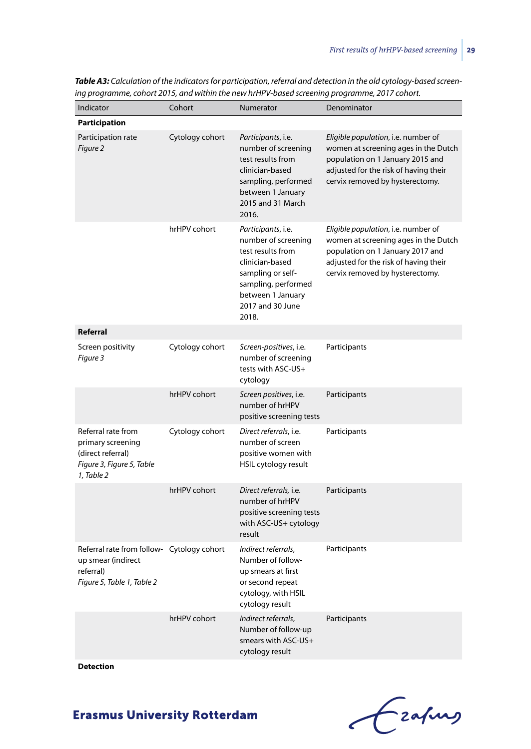| Indicator                                                                                                   | Cohort          | <b>Numerator</b>                                                                                                                                                                | Denominator                                                                                                                                                                                 |
|-------------------------------------------------------------------------------------------------------------|-----------------|---------------------------------------------------------------------------------------------------------------------------------------------------------------------------------|---------------------------------------------------------------------------------------------------------------------------------------------------------------------------------------------|
| <b>Participation</b>                                                                                        |                 |                                                                                                                                                                                 |                                                                                                                                                                                             |
| Participation rate<br>Figure 2                                                                              | Cytology cohort | Participants, i.e.<br>number of screening<br>test results from<br>clinician-based<br>sampling, performed<br>between 1 January<br>2015 and 31 March<br>2016.                     | Eligible population, i.e. number of<br>women at screening ages in the Dutch<br>population on 1 January 2015 and<br>adjusted for the risk of having their<br>cervix removed by hysterectomy. |
|                                                                                                             | hrHPV cohort    | Participants, i.e.<br>number of screening<br>test results from<br>clinician-based<br>sampling or self-<br>sampling, performed<br>between 1 January<br>2017 and 30 June<br>2018. | Eligible population, i.e. number of<br>women at screening ages in the Dutch<br>population on 1 January 2017 and<br>adjusted for the risk of having their<br>cervix removed by hysterectomy. |
| Referral                                                                                                    |                 |                                                                                                                                                                                 |                                                                                                                                                                                             |
| Screen positivity<br>Figure 3                                                                               | Cytology cohort | Screen-positives, i.e.<br>number of screening<br>tests with ASC-US+<br>cytology                                                                                                 | Participants                                                                                                                                                                                |
|                                                                                                             | hrHPV cohort    | Screen positives, i.e.<br>number of hrHPV<br>positive screening tests                                                                                                           | Participants                                                                                                                                                                                |
| Referral rate from<br>primary screening<br>(direct referral)<br>Figure 3, Figure 5, Table<br>1, Table 2     | Cytology cohort | Direct referrals, i.e.<br>number of screen<br>positive women with<br>HSIL cytology result                                                                                       | Participants                                                                                                                                                                                |
|                                                                                                             | hrHPV cohort    | Direct referrals, i.e.<br>number of hrHPV<br>positive screening tests<br>with ASC-US+ cytology<br>result                                                                        | Participants                                                                                                                                                                                |
| Referral rate from follow- Cytology cohort<br>up smear (indirect<br>referral)<br>Figure 5, Table 1, Table 2 |                 | Indirect referrals,<br>Number of follow-<br>up smears at first<br>or second repeat<br>cytology, with HSIL<br>cytology result                                                    | Participants                                                                                                                                                                                |
|                                                                                                             | hrHPV cohort    | Indirect referrals,<br>Number of follow-up<br>smears with ASC-US+<br>cytology result                                                                                            | Participants                                                                                                                                                                                |

*Table A3: Calculation of the indicators for participation, referral and detection in the old cytology-based screening programme, cohort 2015, and within the new hrHPV-based screening programme, 2017 cohort.*

**Detection**